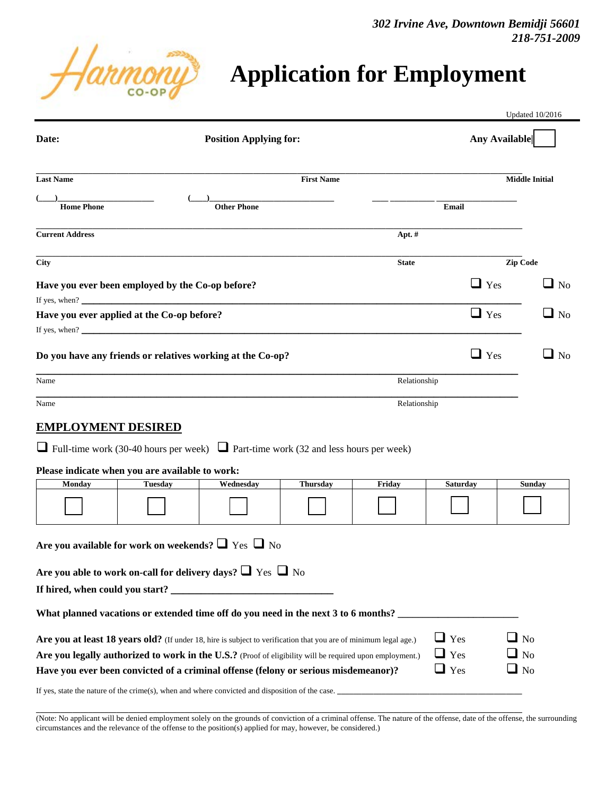*302 Irvine Ave, Downtown Bemidji 56601 218-751-2009*



| Date:                                                                                                                                                                                                                                                                                                               |                   | <b>Position Applying for:</b> |                 |                          |                                        | Any Available                       |  |
|---------------------------------------------------------------------------------------------------------------------------------------------------------------------------------------------------------------------------------------------------------------------------------------------------------------------|-------------------|-------------------------------|-----------------|--------------------------|----------------------------------------|-------------------------------------|--|
| <b>Last Name</b>                                                                                                                                                                                                                                                                                                    | <b>First Name</b> |                               |                 |                          | <b>Middle Initial</b>                  |                                     |  |
| <b>Home Phone</b>                                                                                                                                                                                                                                                                                                   |                   | <b>Other Phone</b>            |                 |                          | Email                                  |                                     |  |
| <b>Current Address</b>                                                                                                                                                                                                                                                                                              |                   | Apt. #                        |                 |                          |                                        |                                     |  |
| <b>City</b>                                                                                                                                                                                                                                                                                                         |                   |                               |                 | Zip Code<br><b>State</b> |                                        |                                     |  |
| Have you ever been employed by the Co-op before?<br>If yes, when? $\qquad \qquad$                                                                                                                                                                                                                                   |                   |                               |                 |                          | $\Box$ Yes                             | $\square$ No                        |  |
| Have you ever applied at the Co-op before?<br>If yes, when?                                                                                                                                                                                                                                                         |                   |                               |                 |                          | $\Box$ Yes                             | $\Box$ No                           |  |
| Do you have any friends or relatives working at the Co-op?                                                                                                                                                                                                                                                          |                   |                               |                 |                          | $\Box$ Yes                             | $\Box$ No                           |  |
| Name                                                                                                                                                                                                                                                                                                                |                   |                               |                 | Relationship             |                                        |                                     |  |
| Name                                                                                                                                                                                                                                                                                                                |                   |                               |                 | Relationship             |                                        |                                     |  |
| <b>EMPLOYMENT DESIRED</b><br>$\Box$ Full-time work (30-40 hours per week) $\Box$ Part-time work (32 and less hours per week)<br>Please indicate when you are available to work:                                                                                                                                     |                   |                               |                 |                          |                                        |                                     |  |
| <b>Tuesday</b><br><b>Monday</b>                                                                                                                                                                                                                                                                                     |                   | Wednesday                     | <b>Thursday</b> | Friday                   | <b>Saturday</b>                        | <b>Sunday</b>                       |  |
|                                                                                                                                                                                                                                                                                                                     |                   |                               |                 |                          |                                        |                                     |  |
| Are you available for work on weekends? $\Box$ Yes $\Box$ No                                                                                                                                                                                                                                                        |                   |                               |                 |                          |                                        |                                     |  |
| Are you able to work on-call for delivery days? $\Box$ Yes $\Box$ No                                                                                                                                                                                                                                                |                   |                               |                 |                          |                                        |                                     |  |
|                                                                                                                                                                                                                                                                                                                     |                   |                               |                 |                          |                                        |                                     |  |
| What planned vacations or extended time off do you need in the next 3 to 6 months?                                                                                                                                                                                                                                  |                   |                               |                 |                          |                                        |                                     |  |
| Are you at least 18 years old? (If under 18, hire is subject to verification that you are of minimum legal age.)<br>Are you legally authorized to work in the U.S.? (Proof of eligibility will be required upon employment.)<br>Have you ever been convicted of a criminal offense (felony or serious misdemeanor)? |                   |                               |                 |                          | $\Box$ Yes<br>$\Box$ Yes<br>$\Box$ Yes | $\Box$ No<br>$\Box$ No<br>$\Box$ No |  |

If yes, state the nature of the crime(s), when and where convicted and disposition of the case.

(Note: No applicant will be denied employment solely on the grounds of conviction of a criminal offense. The nature of the offense, date of the offense, the surrounding circumstances and the relevance of the offense to the position(s) applied for may, however, be considered.)

**\_\_\_\_\_\_\_\_\_\_\_\_\_\_\_\_\_\_\_\_\_\_\_\_\_\_\_\_\_\_\_\_\_\_\_\_\_\_\_\_\_\_\_\_\_\_\_\_\_\_\_\_\_\_\_\_\_\_\_\_\_\_\_\_\_\_\_\_\_\_\_\_\_\_\_\_\_\_\_\_\_\_\_\_\_\_\_\_\_\_\_\_\_\_\_\_\_\_\_\_\_\_\_\_\_\_\_\_\_\_\_\_\_\_\_\_\_\_\_\_\_**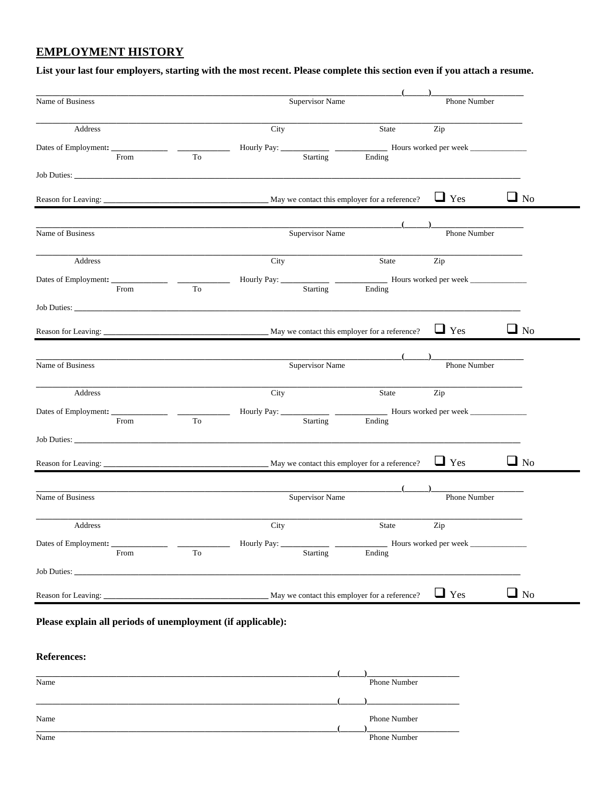## **EMPLOYMENT HISTORY**

## **List your last four employers, starting with the most recent. Please complete this section even if you attach a resume.**

| <b>Supervisor Name</b><br>City<br>Hourly Pay: _____<br>$\frac{1}{2} \left( \frac{1}{2} \right) \left( \frac{1}{2} \right) \left( \frac{1}{2} \right)$<br>Starting<br>Supervisor Name                                                                                                                                                                                                                                              | State<br>Ending                                                                     | Phone Number<br>Zip<br>Hours worked per week<br>$\Box$ Yes                                                                   | $\Box$ No                                                                                             |
|-----------------------------------------------------------------------------------------------------------------------------------------------------------------------------------------------------------------------------------------------------------------------------------------------------------------------------------------------------------------------------------------------------------------------------------|-------------------------------------------------------------------------------------|------------------------------------------------------------------------------------------------------------------------------|-------------------------------------------------------------------------------------------------------|
|                                                                                                                                                                                                                                                                                                                                                                                                                                   |                                                                                     |                                                                                                                              |                                                                                                       |
|                                                                                                                                                                                                                                                                                                                                                                                                                                   |                                                                                     |                                                                                                                              |                                                                                                       |
|                                                                                                                                                                                                                                                                                                                                                                                                                                   |                                                                                     |                                                                                                                              |                                                                                                       |
|                                                                                                                                                                                                                                                                                                                                                                                                                                   |                                                                                     |                                                                                                                              |                                                                                                       |
|                                                                                                                                                                                                                                                                                                                                                                                                                                   |                                                                                     |                                                                                                                              |                                                                                                       |
|                                                                                                                                                                                                                                                                                                                                                                                                                                   |                                                                                     | Phone Number                                                                                                                 |                                                                                                       |
| City                                                                                                                                                                                                                                                                                                                                                                                                                              | State                                                                               | Zip                                                                                                                          |                                                                                                       |
| $\frac{1}{1-\frac{1}{1-\frac{1}{1-\frac{1}{1-\frac{1}{1-\frac{1}{1-\frac{1}{1-\frac{1}{1-\frac{1}{1-\frac{1}{1-\frac{1}{1-\frac{1}{1-\frac{1}{1-\frac{1}{1-\frac{1}{1-\frac{1}{1-\frac{1}{1-\frac{1}{1-\frac{1}{1-\frac{1}{1-\frac{1}{1-\frac{1}{1-\frac{1}{1-\frac{1}{1-\frac{1}{1-\frac{1}{1-\frac{1}{1-\frac{1}{1-\frac{1}{1-\frac{1}{1-\frac{1}{1-\frac{1}{1-\frac{1}{1-\frac{1}{1-\frac{1}{1-\frac{1}{1-\frac{1$<br>Starting |                                                                                     |                                                                                                                              |                                                                                                       |
|                                                                                                                                                                                                                                                                                                                                                                                                                                   |                                                                                     |                                                                                                                              |                                                                                                       |
|                                                                                                                                                                                                                                                                                                                                                                                                                                   |                                                                                     | $\Box$ Yes                                                                                                                   | $\Box$ No                                                                                             |
|                                                                                                                                                                                                                                                                                                                                                                                                                                   |                                                                                     |                                                                                                                              |                                                                                                       |
|                                                                                                                                                                                                                                                                                                                                                                                                                                   |                                                                                     |                                                                                                                              |                                                                                                       |
| City                                                                                                                                                                                                                                                                                                                                                                                                                              | State                                                                               |                                                                                                                              |                                                                                                       |
| $\sim$ $\sim$<br>Starting                                                                                                                                                                                                                                                                                                                                                                                                         |                                                                                     |                                                                                                                              |                                                                                                       |
|                                                                                                                                                                                                                                                                                                                                                                                                                                   |                                                                                     |                                                                                                                              |                                                                                                       |
|                                                                                                                                                                                                                                                                                                                                                                                                                                   |                                                                                     | $\Box$ Yes                                                                                                                   | $\Box$ No                                                                                             |
| <b>Supervisor Name</b>                                                                                                                                                                                                                                                                                                                                                                                                            |                                                                                     | Phone Number                                                                                                                 |                                                                                                       |
| City                                                                                                                                                                                                                                                                                                                                                                                                                              | State                                                                               |                                                                                                                              |                                                                                                       |
| Starting                                                                                                                                                                                                                                                                                                                                                                                                                          |                                                                                     |                                                                                                                              |                                                                                                       |
|                                                                                                                                                                                                                                                                                                                                                                                                                                   |                                                                                     |                                                                                                                              |                                                                                                       |
|                                                                                                                                                                                                                                                                                                                                                                                                                                   |                                                                                     | $\Box$ Yes                                                                                                                   | $\Box$ No                                                                                             |
|                                                                                                                                                                                                                                                                                                                                                                                                                                   | Hourly Pay: _____<br><b>Supervisor Name</b><br>Hourly Pay: ____<br>Hourly Pay: ____ | Ending<br>May we contact this employer for a reference?<br>Ending<br>May we contact this employer for a reference?<br>Ending | Hours worked per week<br>Phone Number<br>Zip<br>Hours worked per week<br>Zip<br>Hours worked per week |

Name Phone Number